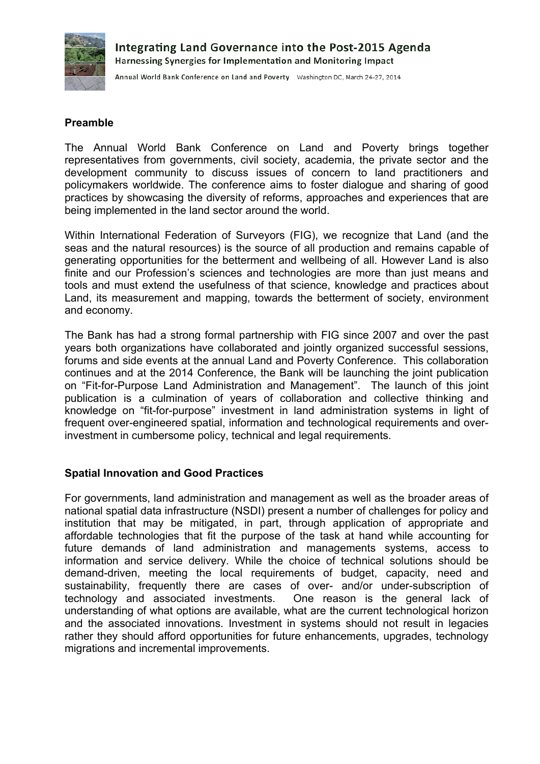

Annual World Bank Conference on Land and Poverty Washington DC, March 24-27, 2014

## **Preamble**

The Annual World Bank Conference on Land and Poverty brings together representatives from governments, civil society, academia, the private sector and the development community to discuss issues of concern to land practitioners and policymakers worldwide. The conference aims to foster dialogue and sharing of good practices by showcasing the diversity of reforms, approaches and experiences that are being implemented in the land sector around the world.

Within International Federation of Surveyors (FIG), we recognize that Land (and the seas and the natural resources) is the source of all production and remains capable of generating opportunities for the betterment and wellbeing of all. However Land is also finite and our Profession's sciences and technologies are more than just means and tools and must extend the usefulness of that science, knowledge and practices about Land, its measurement and mapping, towards the betterment of society, environment and economy.

The Bank has had a strong formal partnership with FIG since 2007 and over the past years both organizations have collaborated and jointly organized successful sessions, forums and side events at the annual Land and Poverty Conference. This collaboration continues and at the 2014 Conference, the Bank will be launching the joint publication on "Fit-for-Purpose Land Administration and Management". The launch of this joint publication is a culmination of years of collaboration and collective thinking and knowledge on "fit-for-purpose" investment in land administration systems in light of frequent over-engineered spatial, information and technological requirements and overinvestment in cumbersome policy, technical and legal requirements.

## **Spatial Innovation and Good Practices**

For governments, land administration and management as well as the broader areas of national spatial data infrastructure (NSDI) present a number of challenges for policy and institution that may be mitigated, in part, through application of appropriate and affordable technologies that fit the purpose of the task at hand while accounting for future demands of land administration and managements systems, access to information and service delivery. While the choice of technical solutions should be demand-driven, meeting the local requirements of budget, capacity, need and sustainability, frequently there are cases of over- and/or under-subscription of technology and associated investments. One reason is the general lack of understanding of what options are available, what are the current technological horizon and the associated innovations. Investment in systems should not result in legacies rather they should afford opportunities for future enhancements, upgrades, technology migrations and incremental improvements.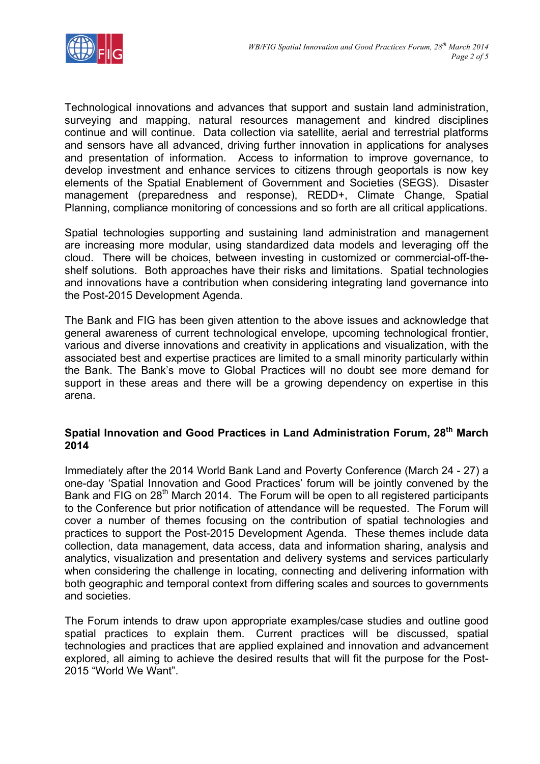

Technological innovations and advances that support and sustain land administration, surveying and mapping, natural resources management and kindred disciplines continue and will continue. Data collection via satellite, aerial and terrestrial platforms and sensors have all advanced, driving further innovation in applications for analyses and presentation of information. Access to information to improve governance, to develop investment and enhance services to citizens through geoportals is now key elements of the Spatial Enablement of Government and Societies (SEGS). Disaster management (preparedness and response), REDD+, Climate Change, Spatial Planning, compliance monitoring of concessions and so forth are all critical applications.

Spatial technologies supporting and sustaining land administration and management are increasing more modular, using standardized data models and leveraging off the cloud. There will be choices, between investing in customized or commercial-off-theshelf solutions. Both approaches have their risks and limitations. Spatial technologies and innovations have a contribution when considering integrating land governance into the Post-2015 Development Agenda.

The Bank and FIG has been given attention to the above issues and acknowledge that general awareness of current technological envelope, upcoming technological frontier, various and diverse innovations and creativity in applications and visualization, with the associated best and expertise practices are limited to a small minority particularly within the Bank. The Bank's move to Global Practices will no doubt see more demand for support in these areas and there will be a growing dependency on expertise in this arena.

## **Spatial Innovation and Good Practices in Land Administration Forum, 28th March 2014**

Immediately after the 2014 World Bank Land and Poverty Conference (March 24 - 27) a one-day 'Spatial Innovation and Good Practices' forum will be jointly convened by the Bank and FIG on 28<sup>th</sup> March 2014. The Forum will be open to all registered participants to the Conference but prior notification of attendance will be requested. The Forum will cover a number of themes focusing on the contribution of spatial technologies and practices to support the Post-2015 Development Agenda. These themes include data collection, data management, data access, data and information sharing, analysis and analytics, visualization and presentation and delivery systems and services particularly when considering the challenge in locating, connecting and delivering information with both geographic and temporal context from differing scales and sources to governments and societies.

The Forum intends to draw upon appropriate examples/case studies and outline good spatial practices to explain them. Current practices will be discussed, spatial technologies and practices that are applied explained and innovation and advancement explored, all aiming to achieve the desired results that will fit the purpose for the Post-2015 "World We Want".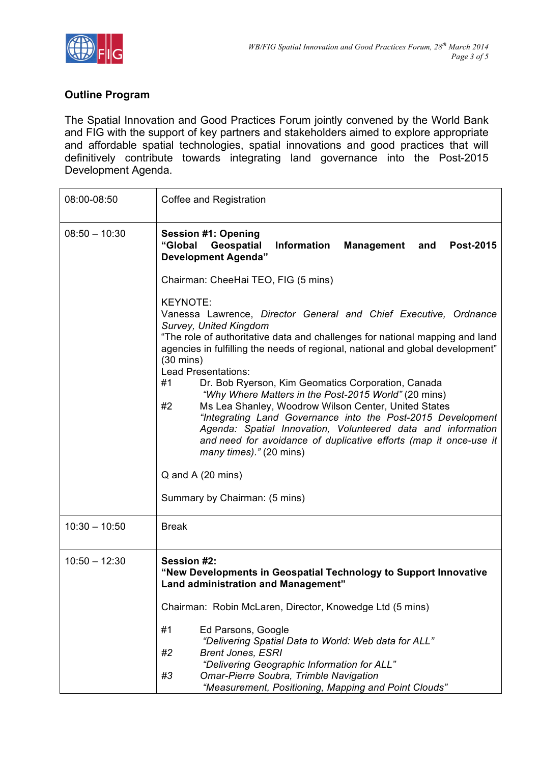

## **Outline Program**

The Spatial Innovation and Good Practices Forum jointly convened by the World Bank and FIG with the support of key partners and stakeholders aimed to explore appropriate and affordable spatial technologies, spatial innovations and good practices that will definitively contribute towards integrating land governance into the Post-2015 Development Agenda.

| 08:00-08:50     | Coffee and Registration                                                                                                                                                                                                                                                                                                                                                                                                                                                                                                                                                |
|-----------------|------------------------------------------------------------------------------------------------------------------------------------------------------------------------------------------------------------------------------------------------------------------------------------------------------------------------------------------------------------------------------------------------------------------------------------------------------------------------------------------------------------------------------------------------------------------------|
| $08:50 - 10:30$ | <b>Session #1: Opening</b><br>Geospatial<br><b>Information</b><br>"Global<br><b>Management</b><br>and<br><b>Post-2015</b><br><b>Development Agenda"</b><br>Chairman: CheeHai TEO, FIG (5 mins)<br><b>KEYNOTE:</b><br>Vanessa Lawrence, Director General and Chief Executive, Ordnance<br><b>Survey, United Kingdom</b><br>"The role of authoritative data and challenges for national mapping and land                                                                                                                                                                 |
|                 | agencies in fulfilling the needs of regional, national and global development"<br>$(30 \text{ mins})$<br>Lead Presentations:<br>#1<br>Dr. Bob Ryerson, Kim Geomatics Corporation, Canada<br>"Why Where Matters in the Post-2015 World" (20 mins)<br>Ms Lea Shanley, Woodrow Wilson Center, United States<br>#2<br>"Integrating Land Governance into the Post-2015 Development<br>Agenda: Spatial Innovation, Volunteered data and information<br>and need for avoidance of duplicative efforts (map it once-use it<br>many times)." (20 mins)<br>$Q$ and A $(20$ mins) |
|                 | Summary by Chairman: (5 mins)                                                                                                                                                                                                                                                                                                                                                                                                                                                                                                                                          |
| $10:30 - 10:50$ | <b>Break</b>                                                                                                                                                                                                                                                                                                                                                                                                                                                                                                                                                           |
| $10:50 - 12:30$ | Session #2:<br>"New Developments in Geospatial Technology to Support Innovative<br>Land administration and Management"                                                                                                                                                                                                                                                                                                                                                                                                                                                 |
|                 | Chairman: Robin McLaren, Director, Knowedge Ltd (5 mins)<br>#1<br>Ed Parsons, Google<br>"Delivering Spatial Data to World: Web data for ALL"<br>#2<br><b>Brent Jones, ESRI</b><br>"Delivering Geographic Information for ALL"<br>#3<br>Omar-Pierre Soubra, Trimble Navigation<br>"Measurement, Positioning, Mapping and Point Clouds"                                                                                                                                                                                                                                  |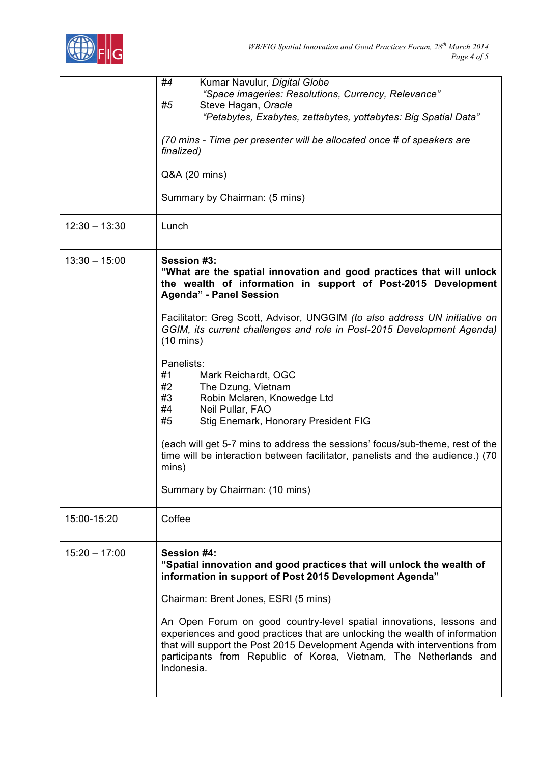

|                 | #4<br>Kumar Navulur, Digital Globe<br>"Space imageries: Resolutions, Currency, Relevance"<br>Steve Hagan, Oracle<br>#5<br>"Petabytes, Exabytes, zettabytes, yottabytes: Big Spatial Data"<br>(70 mins - Time per presenter will be allocated once # of speakers are<br>finalized)<br>Q&A (20 mins)<br>Summary by Chairman: (5 mins)                                                                                                                                                                                                                                                                                                                                                                                                                                            |
|-----------------|--------------------------------------------------------------------------------------------------------------------------------------------------------------------------------------------------------------------------------------------------------------------------------------------------------------------------------------------------------------------------------------------------------------------------------------------------------------------------------------------------------------------------------------------------------------------------------------------------------------------------------------------------------------------------------------------------------------------------------------------------------------------------------|
| $12:30 - 13:30$ | Lunch                                                                                                                                                                                                                                                                                                                                                                                                                                                                                                                                                                                                                                                                                                                                                                          |
| $13:30 - 15:00$ | <b>Session #3:</b><br>"What are the spatial innovation and good practices that will unlock<br>the wealth of information in support of Post-2015 Development<br><b>Agenda" - Panel Session</b><br>Facilitator: Greg Scott, Advisor, UNGGIM (to also address UN initiative on<br>GGIM, its current challenges and role in Post-2015 Development Agenda)<br>$(10 \text{ mins})$<br>Panelists:<br>#1<br>Mark Reichardt, OGC<br>#2<br>The Dzung, Vietnam<br>Robin Mclaren, Knowedge Ltd<br>#3<br>#4<br>Neil Pullar, FAO<br>Stig Enemark, Honorary President FIG<br>#5<br>(each will get 5-7 mins to address the sessions' focus/sub-theme, rest of the<br>time will be interaction between facilitator, panelists and the audience.) (70<br>mins)<br>Summary by Chairman: (10 mins) |
| 15:00-15:20     | Coffee                                                                                                                                                                                                                                                                                                                                                                                                                                                                                                                                                                                                                                                                                                                                                                         |
| $15:20 - 17:00$ | Session #4:<br>"Spatial innovation and good practices that will unlock the wealth of<br>information in support of Post 2015 Development Agenda"<br>Chairman: Brent Jones, ESRI (5 mins)<br>An Open Forum on good country-level spatial innovations, lessons and<br>experiences and good practices that are unlocking the wealth of information<br>that will support the Post 2015 Development Agenda with interventions from<br>participants from Republic of Korea, Vietnam, The Netherlands and<br>Indonesia.                                                                                                                                                                                                                                                                |